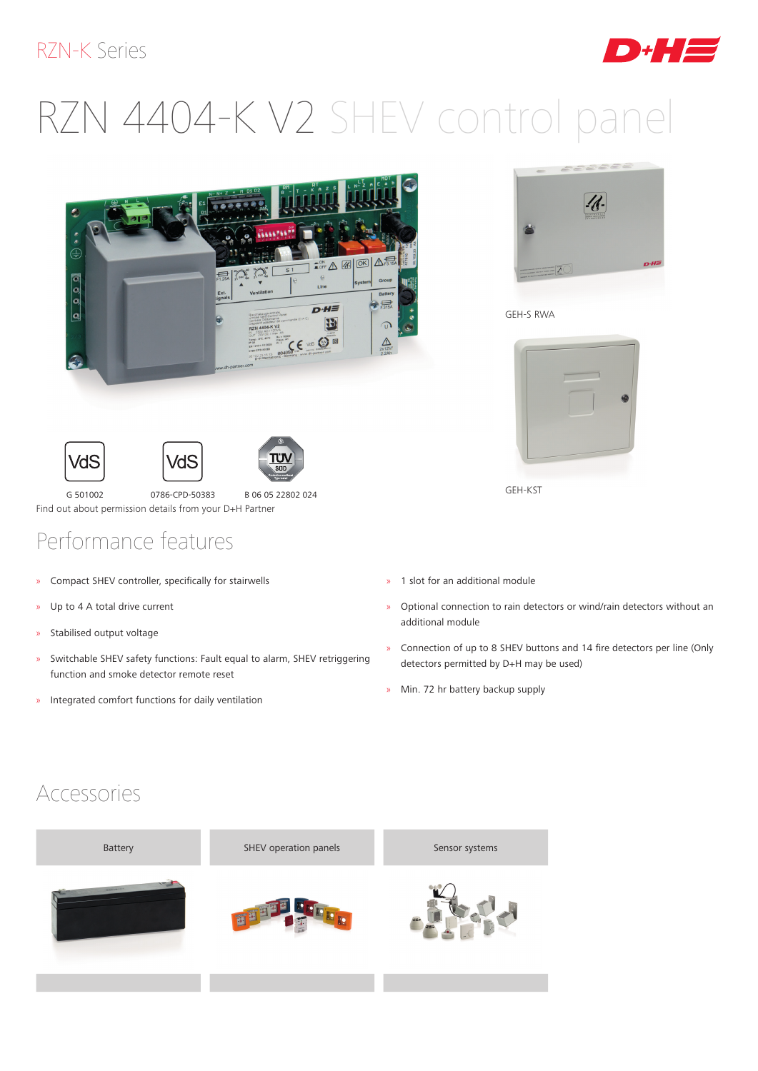#### RZN-K Series

# RZN 4404-K V2 SHEV control panel









G 501002 0786-CPD-50383 B 06 05 22802 024 Find out about permission details from your D+H Partner

## Performance features

- » Compact SHEV controller, specifically for stairwells
- » Up to 4 A total drive current
- » Stabilised output voltage
- » Switchable SHEV safety functions: Fault equal to alarm, SHEV retriggering function and smoke detector remote reset
- » Integrated comfort functions for daily ventilation



D H H EI

GEH-S RWA



GEH-KST

- » 1 slot for an additional module
- » Optional connection to rain detectors or wind/rain detectors without an additional module
- » Connection of up to 8 SHEV buttons and 14 fire detectors per line (Only detectors permitted by D+H may be used)
- » Min. 72 hr battery backup supply

#### Accessories